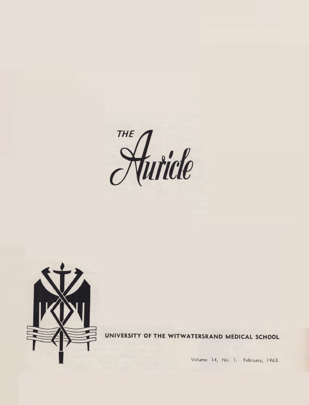



UNIVERSITY OF THE WITWATERSRAND MEDICAL SCHOOL

Volume 14, No. 1. February, 1963.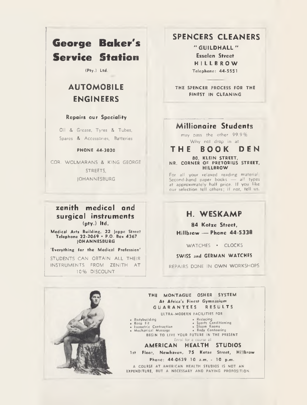# **George Baker's Service Station**

**<Pty.) Ltd.**

# **AUTOMOBILE ENGINEERS**

### **Repairs our Speciality**

Oil & Grease, Tyres & Tubes, Spares & Accessories, Batteries

#### **PHONE 44-3020**

COR. WOLMARANS & KING GEORGE STREETS. **IOHANNESBURG** 

### **zenith medical and surgical instruments (pty.) ltd.**

**Medical Arts Building, 22 jeppe Street Telephone 22-2069 • P.O. Box 4367 JOHANNESBURG**

**'Everything for the Medical Profession'**

STUDENTS CAN OBTAIN ALL THEIR INSTRUMENTS FROM ZENITH AT 10% DISCOUNT

### **SPENCERS CLEANERS**

**" G U IL D H A L L " Esselen Street K I L L B R O W Telephone: 44-5551**

**THE SPENCER PROCESS FOR THE FINEST IN CLEANING**

### **Millionaire Students**

may pass the other 99.9% Why not drop in at

### **T H E BOOK DEN**

#### **80, KLEIN STREET, NR. CORNER OF PRETORIUS STREET, H1LLBROW**

For all your relaxed reading material Second-hand paper books - all types at approximately half price. If you like our selection tell others; if not, tell us.

### **H. WESKAMP**

**84 Kotze Street, Hillbrow — Phone 44-5338**

WATCHES . CLOCKS

### SWISS and GERMAN WATCHES

REPAIRS DONE IN OWN WORKSHOPS

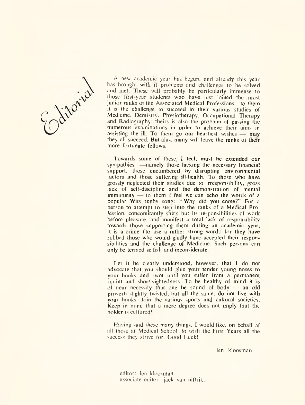Editorial

A new academic year has begun, and already this year has brought with it problems and challenges to be solved and met. These will probably be particularly immense to those first-year students who have just joined the most junior ranks of the Associated Medical Professions—to them it is the challenge to succeed in their various studies of Medicine. Dentistry. Physiotherapy, Occupational Therapy and Radiography; theirs is also the problem of passing the numerous examinations in order to achieve their aims in assisting the ill. To them go our heartiest wishes  $-$  may they all succeed. But alas, many will leave the ranks of their more fortunate fellows.

Towards some of these, I feel, must be extended our sympathies —namely those lacking the necessary financial support, those encumbered by disrupting environmental factors and those suffering ill-health. To those who have grossly neglected their studies due to irresponsibility, gross lack of self-discipline and the demonstration of mental immaturity  $-$  to them I feel we can echo the words of a popular Wits rugby song: " Why did you come?" For a person to attempt to step into the ranks of a Medical Profession, concomitantly shirk but its responsibilities of work before pleasure, and manifest a total lack of responsibility towards those supporting them during an academic year, it is a crime (to use a rather strong word) for they have robbed those who would gladly have accepted their responsibilities and the challenge of Medicine. Such persons can only be termed selfish and inconsiderate.

Let it be clearly understood, however, that I do not advocate that you should glue your tender young noses to your books and swot until you suffer from a permanent squint and short-sightedness. To be healthy of mind it is of near necessity that one be sound of body  $-$  an old proverb slightly twisted; but all the same, do not live with your books. Join the various sports and cultural societies. Keep in mind that a mere degree does not imply that the holder is cultured!

Having said these many things. I would like, on behalf of all those at Medical School, to wish the First Years all the success they strive for. Good Luck!

len kloosman.

editor: len kloosman associate editor: jack van niftrik.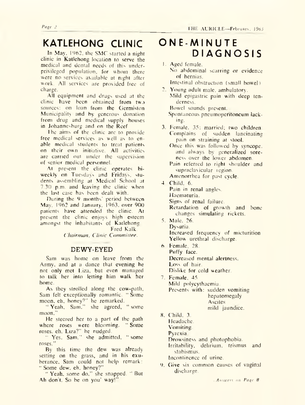# **KATLEHONG CLINIC**

In May, 1962, the SMC started a night clinic in Katlehong location to serve the medical and dental needs of this underprivileged population, for whom there were no services available at night after work. All services are provided free of charge.

All equipment and drugs used at the clinic have been obtained from two sources: on loan from the Germiston Municipality and by generous donation from drug and medical supply houses in Johannesburg and on the Reef.

The aims of the clinic arc to provide free medical services as well as to enable medical students to treat patients on their own initiative. All activities are carried out under the supervision of senior medical personnel.

At present the clinic operates biweekly on Tuesdays and Fridays, students assembling at Medical School at 7.30 p.m. and leaving the clinic when the last case has been dealt with.

During the 9 months' period between May, 1962 and January. 1963. over 900 patients have attended the clinic. At present the clinic enjoys high esteem amongst the inhabitants of Katlehong.

Fred Kalk *Chain nan, Clinic Committee.*

### DEWY-EYED

Sam was home on leave from the Army, and at a dance that evening he not only met Liza, but even managed to talk her into letting him walk her home.

As they strolled along the cow-path, Sam felt exceptionally romantic. " Some moon, eh. honey?" he remarked.

" Yeah, Sam," she agreed, " some moon."

He steered her to a part of the path where roses were blooming. "Some roses, eh. Liza?" he nudged.

" Yes. Sam," she admitted, " some roses."

By this time the dew was already setting on the grass, and in his exuberance. Sam could not help remark: " Some dew, eh, honey?"

" Yeah, some do," she snapped. " But Ah don't. So be on you' way!"

# **ONE-MINUTE DIAGNOSIS**

- 1. Aged female. No abdominal scarring or evidence of hernias. Intestinal obstruction (small bowel)
- 2. Young adult male, ambulatory. Mild epigastric pain with deep tenderness.

Bowel sounds present.

Spontaneous pneumoperitoneum lacking.

3. Female. 35: married; two children. Complains of sudden lancinating pain on straining at stool. Once this was followed by syncope. and always by generalized soreness over the lower abdomen. Pain referred to right shoulder and

supraclavicular region.

- Amenorrhea for past cycle.
- 4. Child. 6. Pain in renal angles. Haematuria. Signs of renal failure. Retardation of growth and bone changes simulating rickets.
- 5. Male. 26. Dysuria. Increased frequency of micturition Yellow urethral discharge.
- 6. Female. 28. Puffy face. Decreased mental alertness. Loss of hair. Dislike for cold weather.
- 7. Female. 45. Mild polycythacmia. Presents with: sudden vomiting hepatomegaly **Ascites** mild jaundice.
- 8. Child, 3. Headache. Vomiting. Pyrexia. Drowsiness and photophobia.

Irritability, delirium, trismus and stabismus.

Incontinence of urine.

9. Ciive six common causes of vaginal discharge.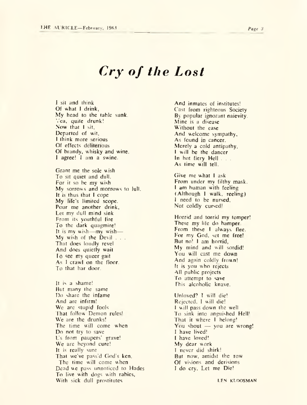# *Cry of the Lost*

I sit and think Of what I drink, My head to the table sunk. Yea, quite drunk! Now that I sit. Departed of wit. I think more serious Of effects deliterious Of brandy, whisky and wine. I agree! I am a swine.

Grant me the sole wish To sit quiet and dull. For it so be my wish My sorrows and morrows to lull. It is thus that I cope My life's limited scope. Pour me another drink. Let my dull mind sink From its youthful fire To the dark quagmire! It is my wish— my wish— My wish of the Devil . . . That does loudly revel And docs quietly wait To see my queer gait As I crawl on the floor. To that bar door.

It is a shame! But many the same Do share the infame And are infirm! We are stupid fools That follow Demon rules! We are the drunks! The time will come when Do not try to save Us from paupers' grave! We are beyond cure! It is really sure That we've pass'd God's ken. The time will come when Dead we pass unnoticed to Hades To live with dogs with rabies. With sick dull prostitutes

And inmates of institutes! Cast from righteous Society By popular ignorant naievity. Mine is a disease Without the ease And welcome sympathy, As found in cancer. Merely a cold antipathy, I will be the dancer In hot fiery Hell ... As time will tell.

Give me what I ask From under my filthy mask. I am human with feeling (Although I walk, reeling) I need to be nursed, Not coldly cursed!

Horrid and torrid my temper! These my life do hamper. From these I always flee. For my God, set me free! But no! I am horrid, My mind and will sordid! You will cast me down And again coldly frown! It is you who rejects All public projects To attempt to save This alcoholic knave.

Unloved? I will die! Rejected, I will die! I will pass down the well To sink into anguished Hell! That it where I belong! You shout — you are wrong! I have lived! I have loved! My dear work I never did shirk! But now, amidst the row Of visions and derisions I do cry, Let me Die!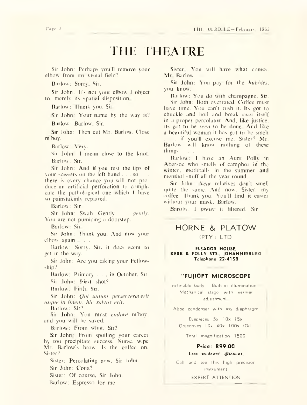# THE THEATRE

Sir John: Perhaps you'll remove your elbow from my visual field?

Barlow: Sorry. Sir.

Sir John: It's not your elbow I object to. merely its spatial disposition.

Barlow: Thank you. Sir.

Sir John: Your name by the way is?

Barlow: Barlow, Sir.

Sir John: Then cut Mr. Barlow. Close m'boy.

Barlow: Very.

Sir John: I mean close to the knot. Barlow : Sir.

Sir John: And if you rest the tips of your scissors on the left hand . . . so . . . there is every chance you will not produce an artificial perforation to complicate the pathological one which I have so painstakinh repaired.

Barlow: Sir.

Sir John: Swab. Gently . . . *gently.* You are not pumicing a doorstep.

Barlow: Sir.

Sir John: Thank you. And now your elbow again

Barlow: Sorry. Sir. it does seem to get m the way.

Sir John: Are you taking your Fellowship?

Barlow: Primary . . . in October, Sir. Sir John: First shot?

Barlow: Fifth, Sir.

Sir John: *(Jui auiuin perserveraverit usque in finem, hie salvus erit.* 

Barlow: Sir'1

Sir John: You must *endure* m'boy, and you will be saved.

Barlow: From what, Sir?

Sir John: From spoiling your career by too precipitate success. Nurse, wipe Mr. Barlow's brow. Is the coffee on, Sister?

Sister: Percolating now. Sir John. Sir John: Cona? Sister: Of course, Sir John. Barlow: Espresso for me.

Sister: You will have what comes. Mr. Barlow.

Sir John: You pay for the *bubbles,* you know.

Barlow : You do with champagne, Sir. Sir John: Both overrated. Coffee must have time. You can't rush it. Its got to chuckle and boil and break over itself in a proper percolator. And, like justice, its got to be *seen* to be done And like a beautiful woman it has got to be smelt if you'll excuse me, Sister? Mr. Barlow will know nothing of these things . . . .

Barlow: 1 have an Aunt Polly in Abersoc who smells of camphor in the winter, mothballs in the summer and menthol snuff all the year round.

Sir John: *Near* relatives don't smell quite the same. And now. Sister, my coffee. Thank you. You'll find it easier without your mask, Barlow.

Barolw: I *prefer* it filtered. Sir

### HORNE & PLATOW (PTY ) LTD

**ELSADOR HOUSE, KERK & POLLY STS., JOHANNESBURG Telephone 22-41 58**

### **"FUJIOPT MICROSCOPE**

Inclinable body - Built-in illumination -M echanical stage w ith vernier adjustm ent.

Abbe condenser with iris diaphragm

Eyepieces 5x I Ox 15x Objectives  $10x - 40x - 100x$  (Oil)

Total magnification 1500

### **Price: R99.00**

#### **Less students' discount.**

Call and see this high precision instrument

#### EXPERT ATTENTION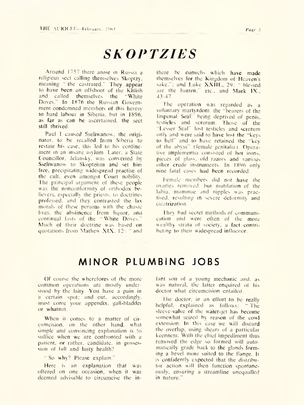# *SKOPTZIES*

Around 1757 there arose in Russia a religious sect calling themselves Skoptzy. meaning " the castrated." They appear to have been an offshoot of the Khlish and called themselves the "White Doves." In 1876 the Russian Government condemned members of this heresy to hard labour in Siberia, but in 1896, as far as can be ascertained, the sect still thrived.

Paul I caused Sseliwanow, the originator. to be recalled from Siberia to restate his case; this led to his confinement in an insane asylum. Later, a State Councillor. Jelansky, was converted by Sseliwanow to Skoptzism and set him free, precipitating widespread practise of the cult, even amongst Court nobility. The principal argument of these people was the nonconformity of orthodox believers. especially the priests, to doctrines professed, and they contrasted the lax morals of these persons with the chaste lives, the abstinence from liquor, and continual fasts of the " White Doves." Much of their doctrine was based on quotations from Mathew XIX. 12: "and

there be eunuchs which have made themselves for the Kingdom of Heaven's sake."; and Luke XXIII., 29: " blessed are the barren." etc., and Mark IX., 43-47.

The operation was regarded as a voluntary martyrdom, the "bearers of the Imperial Seal" being deprived of penis, testicles and scrotum. Those of the "Lesser Seal" lost testicles and scrotum only and were said to have lost the "keys to hell" and to have retained the "key of the abyss" (female genitalia). Operative implementia consisted of hot irons, pieces of glass, old razors and various other crude instruments. In 1896 only nine fatal cases had been recorded.

Female members did not have the ovaries removed, but mutilation of the labia, mammae and nipples was practised. resulting in severe deformity and cicatrization.

They had secret methods of communication and were often of the more wealthy strata of society, a fact contributing to their widespread influence.

# **MINOR PLUMBING JOBS**

Of course the wherefores of the more common operations are mostly understood by the laity. You have a pain in a certain spot; and out. accordingly, must come your appendix, gall-bladder or whatnot.

When it comes to a matter of circumcision. on the other hand, what simple and convincing explanation is to suffice when we are confronted with a patient, or rather, candidate, in possession of full and lusty health?

" So why? Please explain."

Here is an explanation that was offered on one occasion, when it was deemed advisable to circumcise the infant son of a young mechanic and. as was natural, the latter enquired of his doctor what circumcision entailed.

The doctor, in an effort to be really helpful, explained as follows: " The sleeve-valve of the water-jet has become somewhat seized by reason of the cowl extension. In this case we will discard the overlap, using shears of a particular keenness. With the chief impediment thus removed the edge so formed will automatically grade back to the glands forming a bevel more suited to the flange. It is confidently expected that the distributor action will then function spontaneously, ensuring a streamline unequalled in nature."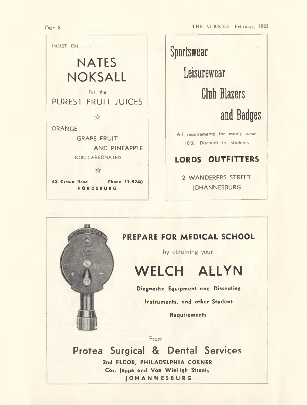



# **10% Discount to Students**

## **LORDS OUTFITTERS**

2 WANDERERS STREET

### **PREPARE FOR MEDICAL SCHOOL**

by obtaining your

# **WELCH ALLYN**

**Diagnostic Equipment and Dissecting**

**Instruments, and other Student**

**Requirements**

From :

**Protea Surgical & Dental Services** 2nd FLOOR, PHILADELPHIA CORNER **Cor. jeppe and Von Wielligh Streets JOHANNESBURG**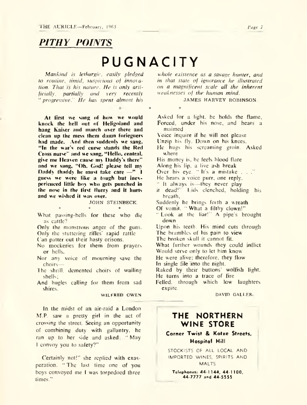# *PITH Y POINTS*

# **PUGNACITY**

\* \*

*Mankind is lethargic, easily pledged to routine, timid, suspicious of innovation. That is his nature. He is only artificially, partially and very recently* " *progressive." He has spent almost his*

**At first we sang of how we would knock the hell out of Heligoland and hang Kaiser and march over there and clean up the mess them damn foriegners had made. And then suddenly we sang. " In the war's red curse stands the Red Cross nurse" and we sang, " Hello, central, give me Heaven cause my Daddy's there" and we sang, "Oh, Cod! please tell mv Daddy thaddy he must take care —" I** guess we were like a tough but inex**perienced little boy who gets punched in the nose in the first flurry and it hurts and we wished it was over.**

JOHN STEINBECK.

\* \* \* What passing-bells for these who die as cattle?

Only the monstrous anger of the guns. Only the stuttering rifles' rapid rattle

Can patter out their hasty orisons.

No mockeries for them from prayers or bells,

Nor any voice of mourning save the choirs—

The shrill, demented choirs of wailing shells;

And bugles calling for them from sad shires.

WILFRED OWEN

In the midst of an air-raid a London M.P. saw a pretty girl in the act of crossing the street. Seeing an opportunity of combining duty with gallantry, he ran up to her side and asked: " May I convoy you to safety?"

Certainly not!" she replied with exasperation. " The last time one of you boys convoyed me I was torpedoed three times."

*whole existence as a savage hunter, and in that state of ignorance he illustrated on a magnificent scale all the inherent weaknesses of the human mind.*

JAMES HARVEY ROBINSON.

Asked for a light, he holds the flame, Forced, under his nose, and hears a maimed

Voice inquire if he will not please

Unzip his fly. Down on his knees.

- He hugs his screaming groin. Asked where
- His money is, he feels blood flare
- Along his lip. a live ash break

Over his eye. " It's a mistake . . ."

- He hears a voice purr, one reply,
- " It always is—they never play
- it dead!' l ids clenched, holding his breath.
- Suddenly he brings forth a wreath

Of vomit. " What a filthy clown!"

" Look at the liar!'' A pipe's brought down

Upon his teeth. His mind cuts through

The brambles of his pain to view

The broken skull it cannot fit.

What further wounds they could inflict

Would serve only to let him know He were alive; therefore, they flow

In single file into the night.

Raked by their buttons' wolfish light, He turns into a trace of fire

Felled, through which low laughters expire.

DAVID GALLER.

### **THE NORTHERN WINE STORE**

**Corner Twist & Kotze Streets, Hospital Hill**

STOCKISTS OF ALL LOCAL AND IMPORTED WINES, SPIRITS AND **MALTS** 

**Telephones: 44-1 144, 44-1100, 44-7777 and 44-5555**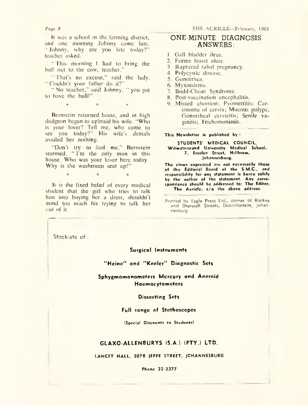*Page H*

It was a school in the farming district, and one morning Johnny came late. " Johnny, why are you late today?" teacher asked.

" This morning 1 had to bring the bull out to the cow, teacher."

" That's no excuse," said the lady. " Couldn't your father do it?"

" No teacher," said Johnny, " you got to have the bull!"

 $*$   $*$   $*$   $*$   $*$ 

Bernstein returned home, and in high dudgeon began to upbraid his wife. "Who is your lover? Tell me, who came to see you today?" His wife's denials availed her nothing.

"Don't try to fool me," Bernstein stormed. "I'm the only man in this house. Who was your lover here today Why is the washroom seat up!"

 $\ddot{\mathbf{x}}$   $\ddot{\mathbf{x}}$ 

It is the fixed belief of every medical student that the girl who tries to talk him into buying her a dress, shouldn't mind too much his trying to talk her out of it.

### ONE-MINUTE DIAGNOSIS ANSWERS:

- 1. Gall bladder ileus.
- 2. Forme fruste ulcer.
- 3. Ruptured tubal pregnancy.
- 4. Polycystic disease.
- 5. Gonorrhea.
- 6. Myxoedema.
- 7. Budd-Chiari Syndrome.
- 8. Post-vaccination encephalitis.
- 9. Missed abortion; Pyometritis; Carcinoma of cervix; Mucous polyps; Gonorrheal cervicitis; Senile vaginitis; Trichomoniasis.

**This Newsletter is published by :**

**STUDENTS' MEDICAL COUNCIL, Witwatersrand University Medical School, 7, Esselen Street, Hillbrow, Johannesburg.**

**The views expressed are not necessarily those of the Editorial Board of the S.M.C., and responsibility for any statement is borne solely by the author of the statement. Any correspondence should be addressed to: The Editor, The Auricle, c/o the above address.**

Stockists of :

#### **Surgical Instruments**

**"Heine" and "Keeler" Diagnostic Sets**

**Sphygmomanometers Mercury and Aneroid Haemocytometers**

#### **Dissecting Sets**

#### **Full range of Stethoscopes**

**(Special Discounts to Students)**

#### **GLAXO-ALLEN BURYS (S.A.) (PTY.) LTD.**

#### **LANCET HALL, 207B JEPPE STREET, JOHANNESBURG**

**Phone 22-3377**

Printed by Eagle Press Ltd., corner of Rockey and Sherwell Streets, Doornfontein, Johannesburg.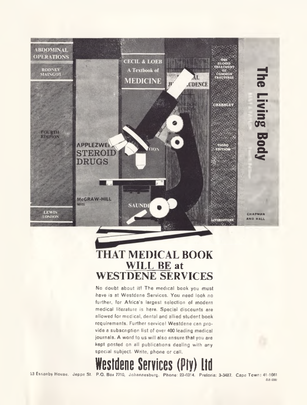

# **THAT MEDICAL BOOK WILL BE at WESTDENE SERVICES**

No doubt about it! The medical book you must have is at Westdene Services. You need look no further, for Africa's largest selection of modern medical literature is here. Special discounts are allowed for medical, dental and allied student book requirements. Further service! Westdene can provide a subscription list of over 400 leading medical journals. A word to us will also ensure that you are kept posted on all publications dealing with any special subject. Write, phone or call.

# **Westdene Services**

23 Essanby House. Jeppe St. P.O. Bo\* 7710, Johannesburg. Phone:23-0314. Pretoria: 3-3487. Cape Town: 41-1061